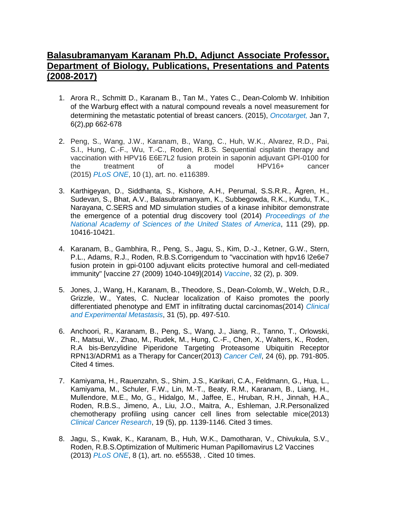## **Balasubramanyam Karanam Ph.D, Adjunct Associate Professor, Department of Biology, Publications, Presentations and Patents (2008-2017)**

- 1. Arora R., Schmitt D., Karanam B., Tan M., Yates C., Dean-Colomb W. Inhibition of the Warburg effect with a natural compound reveals a novel measurement for determining the metastatic potential of breast cancers. (2015), *Oncotarget,* Jan 7, 6(2),pp 662-678
- 2. Peng, S., Wang, J.W., Karanam, B., Wang, C., Huh, W.K., Alvarez, R.D., Pai, S.I., Hung, C.-F., Wu, T.-C., Roden, R.B.S. Sequential cisplatin therapy and vaccination with HPV16 E6E7L2 fusion protein in saponin adjuvant GPI-0100 for the treatment of a model HPV16+ cancer (2015) *PLoS ONE*, 10 (1), art. no. e116389.
- 3. Karthigeyan, D., Siddhanta, S., Kishore, A.H., Perumal, S.S.R.R., Ågren, H., Sudevan, S., Bhat, A.V., Balasubramanyam, K., Subbegowda, R.K., Kundu, T.K., Narayana, C.SERS and MD simulation studies of a kinase inhibitor demonstrate the emergence of a potential drug discovery tool (2014) *Proceedings of the National Academy of Sciences of the United States of America*, 111 (29), pp. 10416-10421.
- 4. Karanam, B., Gambhira, R., Peng, S., Jagu, S., Kim, D.-J., Ketner, G.W., Stern, P.L., Adams, R.J., Roden, R.B.S.Corrigendum to "vaccination with hpv16 l2e6e7 fusion protein in gpi-0100 adjuvant elicits protective humoral and cell-mediated immunity" [vaccine 27 (2009) 1040-1049](2014) *Vaccine*, 32 (2), p. 309.
- 5. Jones, J., Wang, H., Karanam, B., Theodore, S., Dean-Colomb, W., Welch, D.R., Grizzle, W., Yates, C. Nuclear localization of Kaiso promotes the poorly differentiated phenotype and EMT in infiltrating ductal carcinomas(2014) *Clinical and Experimental Metastasis*, 31 (5), pp. 497-510.
- 6. Anchoori, R., Karanam, B., Peng, S., Wang, J., Jiang, R., Tanno, T., Orlowski, R., Matsui, W., Zhao, M., Rudek, M., Hung, C.-F., Chen, X., Walters, K., Roden, R.A bis-Benzylidine Piperidone Targeting Proteasome Ubiquitin Receptor RPN13/ADRM1 as a Therapy for Cancer(2013) *Cancer Cell*, 24 (6), pp. 791-805. Cited 4 times.
- 7. Kamiyama, H., Rauenzahn, S., Shim, J.S., Karikari, C.A., Feldmann, G., Hua, L., Kamiyama, M., Schuler, F.W., Lin, M.-T., Beaty, R.M., Karanam, B., Liang, H., Mullendore, M.E., Mo, G., Hidalgo, M., Jaffee, E., Hruban, R.H., Jinnah, H.A., Roden, R.B.S., Jimeno, A., Liu, J.O., Maitra, A., Eshleman, J.R.Personalized chemotherapy profiling using cancer cell lines from selectable mice(2013) *Clinical Cancer Research*, 19 (5), pp. 1139-1146. Cited 3 times.
- 8. Jagu, S., Kwak, K., Karanam, B., Huh, W.K., Damotharan, V., Chivukula, S.V., Roden, R.B.S.Optimization of Multimeric Human Papillomavirus L2 Vaccines (2013) *PLoS ONE*, 8 (1), art. no. e55538, . Cited 10 times.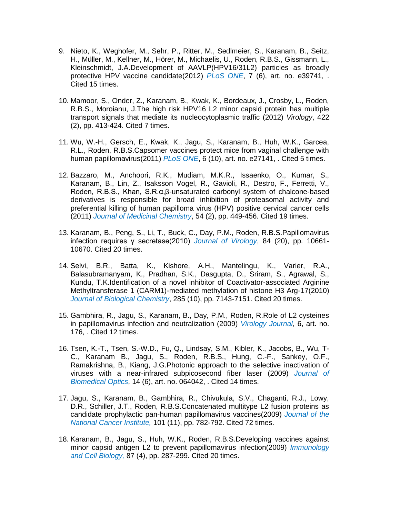- 9. Nieto, K., Weghofer, M., Sehr, P., Ritter, M., Sedlmeier, S., Karanam, B., Seitz, H., Müller, M., Kellner, M., Hörer, M., Michaelis, U., Roden, R.B.S., Gissmann, L., Kleinschmidt, J.A.Development of AAVLP(HPV16/31L2) particles as broadly protective HPV vaccine candidate(2012) *PLoS ONE*, 7 (6), art. no. e39741, . Cited 15 times.
- 10. Mamoor, S., Onder, Z., Karanam, B., Kwak, K., Bordeaux, J., Crosby, L., Roden, R.B.S., Moroianu, J.The high risk HPV16 L2 minor capsid protein has multiple transport signals that mediate its nucleocytoplasmic traffic (2012) *Virology*, 422 (2), pp. 413-424. Cited 7 times.
- 11. Wu, W.-H., Gersch, E., Kwak, K., Jagu, S., Karanam, B., Huh, W.K., Garcea, R.L., Roden, R.B.S.Capsomer vaccines protect mice from vaginal challenge with human papillomavirus(2011) *PLoS ONE*, 6 (10), art. no. e27141, . Cited 5 times.
- 12. Bazzaro, M., Anchoori, R.K., Mudiam, M.K.R., Issaenko, O., Kumar, S., Karanam, B., Lin, Z., Isaksson Vogel, R., Gavioli, R., Destro, F., Ferretti, V., Roden, R.B.S., Khan, S.R.α,β-unsaturated carbonyl system of chalcone-based derivatives is responsible for broad inhibition of proteasomal activity and preferential killing of human papilloma virus (HPV) positive cervical cancer cells (2011) *Journal of Medicinal Chemistry*, 54 (2), pp. 449-456. Cited 19 times.
- 13. Karanam, B., Peng, S., Li, T., Buck, C., Day, P.M., Roden, R.B.S.Papillomavirus infection requires γ secretase(2010) *Journal of Virology*, 84 (20), pp. 10661- 10670. Cited 20 times.
- 14. Selvi, B.R., Batta, K., Kishore, A.H., Mantelingu, K., Varier, R.A., Balasubramanyam, K., Pradhan, S.K., Dasgupta, D., Sriram, S., Agrawal, S., Kundu, T.K.Identification of a novel inhibitor of Coactivator-associated Arginine Methyltransferase 1 (CARM1)-mediated methylation of histone H3 Arg-17(2010) *Journal of Biological Chemistry*, 285 (10), pp. 7143-7151. Cited 20 times.
- 15. Gambhira, R., Jagu, S., Karanam, B., Day, P.M., Roden, R.Role of L2 cysteines in papillomavirus infection and neutralization (2009) *Virology Journal*, 6, art. no. 176, . Cited 12 times.
- 16. Tsen, K.-T., Tsen, S.-W.D., Fu, Q., Lindsay, S.M., Kibler, K., Jacobs, B., Wu, T-C., Karanam B., Jagu, S., Roden, R.B.S., Hung, C.-F., Sankey, O.F., Ramakrishna, B., Kiang, J.G.Photonic approach to the selective inactivation of viruses with a near-infrared subpicosecond fiber laser (2009) *Journal of Biomedical Optics*, 14 (6), art. no. 064042, . Cited 14 times.
- 17. Jagu, S., Karanam, B., Gambhira, R., Chivukula, S.V., Chaganti, R.J., Lowy, D.R., Schiller, J.T., Roden, R.B.S.Concatenated multitype L2 fusion proteins as candidate prophylactic pan-human papillomavirus vaccines(2009) *Journal of the National Cancer Institute,* 101 (11), pp. 782-792. Cited 72 times.
- 18. Karanam, B., Jagu, S., Huh, W.K., Roden, R.B.S.Developing vaccines against minor capsid antigen L2 to prevent papillomavirus infection(2009) *Immunology and Cell Biology,* 87 (4), pp. 287-299. Cited 20 times.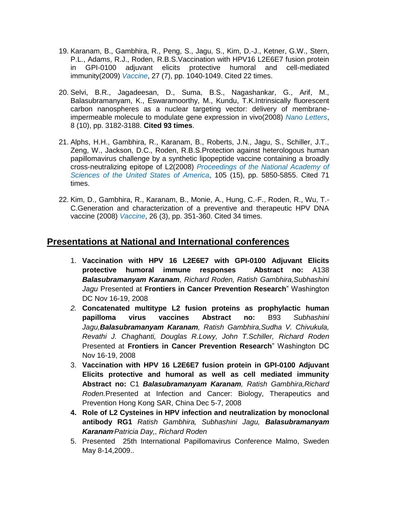- 19. Karanam, B., Gambhira, R., Peng, S., Jagu, S., Kim, D.-J., Ketner, G.W., Stern, P.L., Adams, R.J., Roden, R.B.S.Vaccination with HPV16 L2E6E7 fusion protein in GPI-0100 adjuvant elicits protective humoral and cell-mediated immunity(2009) *Vaccine*, 27 (7), pp. 1040-1049. Cited 22 times.
- 20. Selvi, B.R., Jagadeesan, D., Suma, B.S., Nagashankar, G., Arif, M., Balasubramanyam, K., Eswaramoorthy, M., Kundu, T.K.Intrinsically fluorescent carbon nanospheres as a nuclear targeting vector: delivery of membraneimpermeable molecule to modulate gene expression in vivo(2008) *Nano Letters*, 8 (10), pp. 3182-3188. **Cited 93 times**.
- 21. Alphs, H.H., Gambhira, R., Karanam, B., Roberts, J.N., Jagu, S., Schiller, J.T., Zeng, W., Jackson, D.C., Roden, R.B.S.Protection against heterologous human papillomavirus challenge by a synthetic lipopeptide vaccine containing a broadly cross-neutralizing epitope of L2(2008) *Proceedings of the National Academy of Sciences of the United States of America*, 105 (15), pp. 5850-5855. Cited 71 times.
- 22. Kim, D., Gambhira, R., Karanam, B., Monie, A., Hung, C.-F., Roden, R., Wu, T.- C.Generation and characterization of a preventive and therapeutic HPV DNA vaccine (2008) *Vaccine*, 26 (3), pp. 351-360. Cited 34 times.

## **Presentations at National and International conferences**

- 1. **Vaccination with HPV 16 L2E6E7 with GPI-0100 Adjuvant Elicits protective humoral immune responses Abstract no:** A138 *Balasubramanyam Karanam, Richard Roden, Ratish Gambhira,Subhashini Jagu* Presented at **Frontiers in Cancer Prevention Research**" Washington DC Nov 16-19, 2008
- *2.* **Concatenated multitype L2 fusion proteins as prophylactic human papilloma virus vaccines Abstract no:** B93 *Subhashini Jagu,Balasubramanyam Karanam, Ratish Gambhira,Sudha V. Chivukula, Revathi J. Chaghanti, Douglas R.Lowy, John T.Schiller, Richard Roden*  Presented at **Frontiers in Cancer Prevention Research**" Washington DC Nov 16-19, 2008
- 3. **Vaccination with HPV 16 L2E6E7 fusion protein in GPI-0100 Adjuvant Elicits protective and humoral as well as cell mediated immunity Abstract no:** C1 *Balasubramanyam Karanam, Ratish Gambhira,Richard Roden.*Presented at Infection and Cancer: Biology, Therapeutics and Prevention Hong Kong SAR, China Dec 5-7, 2008
- **4. Role of L2 Cysteines in HPV infection and neutralization by monoclonal antibody RG1** *Ratish Gambhira, Subhashini Jagu, Balasubramanyam Karanam<sup></sup>Patricia Day,, Richard Roden*
- 5. Presented 25th International Papillomavirus Conference Malmo, Sweden May 8-14,2009..